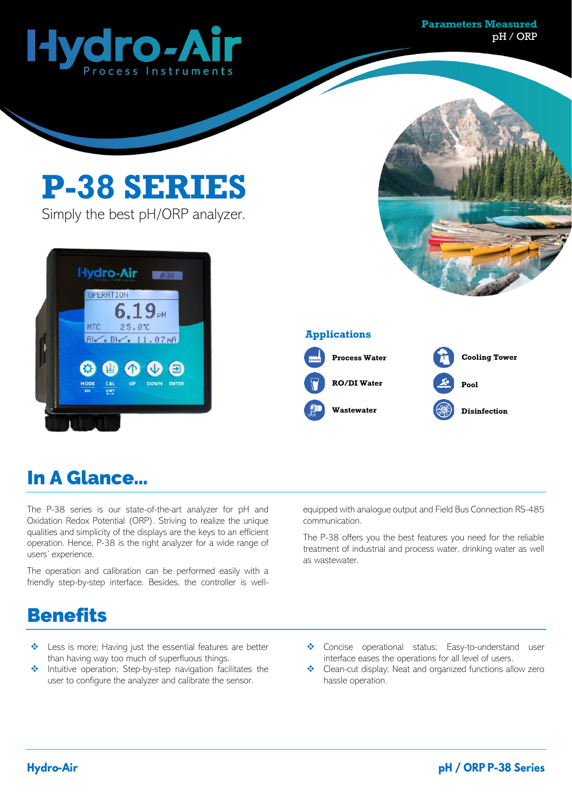

#### **P-38 SERIES** Simply the best pH/ORP analyzer. **Hydro-Air** OPERATION  $6.19<sub>cm</sub>$ 25.00 MTC **Applications**  $B_0 \sim B_0 \sim$ 11.07mA **Process Water Cooling Tower**  $\mathbf{E}$ ENTER **RO/DI Water Pool Wastewater Disinfection**

### In A Glance…

The P-38 series is our state-of-the-art analyzer for pH and Oxidation Redox Potential (ORP). Striving to realize the unique qualities and simplicity of the displays are the keys to an efficient operation. Hence, P-38 is the right analyzer for a wide range of users' experience.

The operation and calibration can be performed easily with a friendly step-by-step interface. Besides, the controller is wellequipped with analogue output and Field Bus Connection RS-485 communication.

The P-38 offers you the best features you need for the reliable treatment of industrial and process water, drinking water as well as wastewater.

#### **Benefits**

- Less is more; Having just the essential features are better than having way too much of superfluous things.
- ❖ Intuitive operation; Step-by-step navigation facilitates the user to configure the analyzer and calibrate the sensor.
- ❖ Concise operational status; Easy-to-understand user interface eases the operations for all level of users.
- ❖ Clean-cut display; Neat and organized functions allow zero hassle operation.